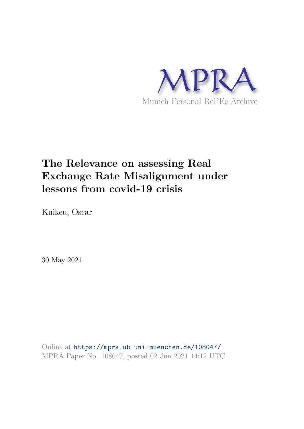

# **The Relevance on assessing Real Exchange Rate Misalignment under lessons from covid-19 crisis**

Kuikeu, Oscar

30 May 2021

Online at https://mpra.ub.uni-muenchen.de/108047/ MPRA Paper No. 108047, posted 02 Jun 2021 14:12 UTC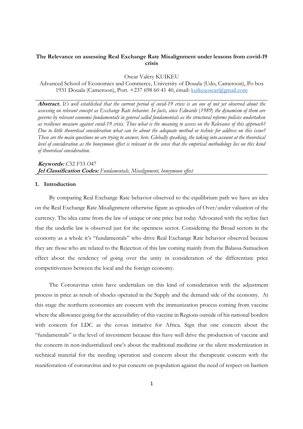# **The Relevance on assessing Real Exchange Rate Misalignment under lessons from covid-19 crisis**

Oscar Valéry KUIKEU

Advanced School of Economics and Commerce, University of Douala (Udo, Cameroon), Po box 1931 Douala (Cameroon), Port. +237 698 60 41 40, émail: kuikeuoscar@gmail.com

**Abstract.** *It's well established that the current period of covid-19 crisis is an one of not yet observed about the assessing on relevant concept as Exchange Rate behavior. In facts, since Edwards* (*1989*) *the dynamism of them are governs by relevant economic fundamentals in general called fundamentals as the structural reforms policies undertaken as resilience measure against covid-19 crisis. Thus what is the meaning to assess on the Relevance of this approach? Due to little theoretical consideration what can be about the adequate method or technic for address on this issue? These are the main questions we are trying to answer, here. Globally speaking, the taking into account at the theoretical level of consideration as the honeymoon effect is relevant in the sense that the empirical methodology lies on this kind of theoretical consideration.* 

# **Keywords:** *C*32 *F*33 *O*47 **Jel Classification Codes:** *Fundamentals, Misalignment, honeymoon effect*

#### **1. Introduction**

By comparing Real Exchange Rate behavior observed to the equilibrium path we have an idea on the Real Exchange Rate Misalignment otherwise figure as episodes of Over/under valuation of the currency. The idea came from the law of unique or one price but today Advocated with the stylize fact that the underlie law is observed just for the openness sector. Considering the Broad sectors in the economy as a whole it's "fundamentals" who drive Real Exchange Rate behavior observed because they are those who are related to the Rejection of this law coming mainly from the Balassa-Samuelson effect about the tendency of going over the unity in consideration of the differentiate price competitiveness between the local and the foreign economy.

The Coronavirus crisis have undertaken on this kind of consideration with the adjustment process in price as result of shocks operated in the Supply and the demand side of the economy. At this stage the northern economies are concern with the immunization process coming from vaccine where the allowance going for the accessibility of this vaccine in Regions outside of his national borders with concern for LDC as the covax initiative for Africa. Sign that one concern about the "fundamentals" is the level of investment because this have well drive the production of vaccine and the concern in non-industrialized one's about the traditional medicine or the silent modernization in technical material for the needing operation and concern about the therapeutic concern with the manifestation of coronavirus and to put concern on population against the need of respect on barriers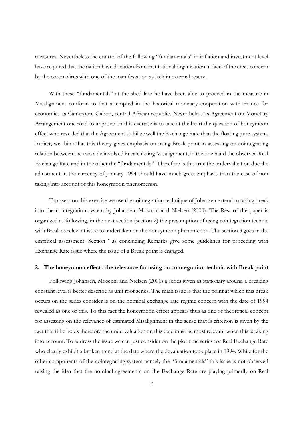measures. Nevertheless the control of the following "fundamentals" in inflation and investment level have required that the nation have donation from institutional organization in face of the crisis concern by the coronavirus with one of the manifestation as lack in external reserv.

With these "fundamentals" at the shed line he have been able to proceed in the measure in Misalignment conform to that attempted in the historical monetary cooperation with France for economies as Cameroon, Gabon, central African republic. Nevertheless as Agreement on Monetary Arrangement one road to improve on this exercise is to take at the heart the question of honeymoon effect who revealed that the Agreement stabilize well the Exchange Rate than the floating pure system. In fact, we think that this theory gives emphasis on using Break point in assessing on cointegrating relation between the two side involved in calculating Misalignment, in the one hand the observed Real Exchange Rate and in the other the "fundamentals". Therefore is this true the undervaluation due the adjustment in the currency of January 1994 should have much great emphasis than the case of non taking into account of this honeymoon phenomenon.

To assess on this exercise we use the cointegration technique of Johansen extend to taking break into the cointegration system by Johansen, Mosconi and Nielsen (2000). The Rest of the paper is organized as following, in the next section (section 2) the presumption of using cointegration technic with Break as relevant issue to undertaken on the honeymoon phenomenon. The section 3 goes in the empirical assessment. Section ' as concluding Remarks give some guidelines for proceding with Exchange Rate issue where the issue of a Break point is engaged.

#### **2. The honeymoon effect : the relevance for using on cointegration technic with Break point**

Following Johansen, Mosconi and Nielsen (2000) a series given as stationary around a breaking constant level is better describe as unit root series. The main issue is that the point at which this break occurs on the series consider is on the nominal exchange rate regime concern with the date of 1994 revealed as one of this. To this fact the honeymoon effect appears thus as one of theoretical concept for assessing on the relevance of estimated Misalignment in the sense that is criterion is given by the fact that if he holds therefore the undervaluation on this date must be most relevant when this is taking into account. To address the issue we can just consider on the plot time series for Real Exchange Rate who clearly exhibit a broken trend at the date where the devaluation took place in 1994. While for the other components of the cointegrating system namely the "fundamentals" this issue is not observed raising the idea that the nominal agreements on the Exchange Rate are playing primarily on Real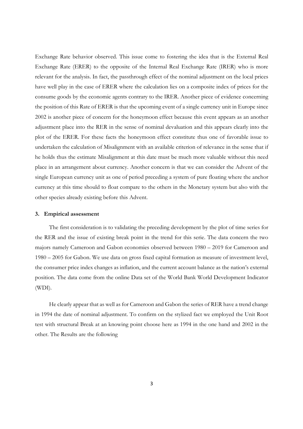Exchange Rate behavior observed. This issue come to fostering the idea that is the External Real Exchange Rate (ERER) to the opposite of the Internal Real Exchange Rate (IRER) who is more relevant for the analysis. In fact, the passthrough effect of the nominal adjustment on the local prices have well play in the case of ERER where the calculation lies on a composite index of prices for the consume goods by the economic agents contrary to the IRER. Another piece of evidence concerning the position of this Rate of ERER is that the upcoming event of a single currency unit in Europe since 2002 is another piece of concern for the honeymoon effect because this event appears as an another adjustment place into the RER in the sense of nominal devaluation and this appears clearly into the plot of the ERER. For these facts the honeymoon effect constitute thus one of favorable issue to undertaken the calculation of Misalignment with an available criterion of relevance in the sense that if he holds thus the estimate Misalignment at this date must be much more valuable without this need place in an arrangement about currency. Another concern is that we can consider the Advent of the single European currency unit as one of period preceding a system of pure floating where the anchor currency at this time should to float compare to the others in the Monetary system but also with the other species already existing before this Advent.

### **3. Empirical assessment**

The first consideration is to validating the preceding development by the plot of time series for the RER and the issue of existing break point in the trend for this serie. The data concern the two majors namely Cameroon and Gabon economies observed between 1980 – 2019 for Cameroon and 1980 – 2005 for Gabon. We use data on gross fixed capital formation as measure of investment level, the consumer price index changes as inflation, and the current account balance as the nation's external position. The data come from the online Data set of the World Bank World Development Indicator (WDI).

He clearly appear that as well as for Cameroon and Gabon the series of RER have a trend change in 1994 the date of nominal adjustment. To confirm on the stylized fact we employed the Unit Root test with structural Break at an knowing point choose here as 1994 in the one hand and 2002 in the other. The Results are the following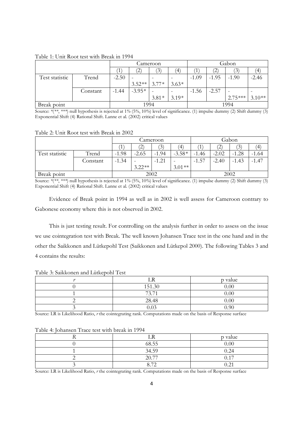|                |          | Cameroon |              |         |                | Gabon   |                   |           |          |
|----------------|----------|----------|--------------|---------|----------------|---------|-------------------|-----------|----------|
|                |          |          | $\mathbf{2}$ | (3)     | $\overline{4}$ |         | $\left( 2\right)$ | 3         | ΄4       |
| Test statistic | Trend    | $-2.50$  | -            |         |                | $-1.09$ | $-1.95$           | $-1.90$   | $-2.46$  |
|                |          |          | $3.52**$     | $3.77*$ | $3.63*$        |         |                   |           |          |
|                | Constant | $-1.44$  | $-3.95*$     |         |                | $-1.56$ | $-2.57$           |           |          |
|                |          |          |              | $3.81*$ | $3.19*$        |         |                   | $2.75***$ | $3.10**$ |
| Break point    |          | 1994     |              |         | 1994           |         |                   |           |          |

Table 1: Unit Root test with Break in 1994

Source: *\**(*\*\**, *\*\*\**) null hypothesis is rejected at 1*%* (5*%*, 10*%*) level of significance. (1) impulse dummy (2) Shift dummy (3) Exponential Shift (4) Rational Shift. Lanne et al. (2002) critical values

Table 2: Unit Root test with Break in 2002

|                |          | Cameroon |                   |         |          | Gabon   |         |                |         |
|----------------|----------|----------|-------------------|---------|----------|---------|---------|----------------|---------|
|                |          |          | $\left( 2\right)$ | (3)     | ΄4       |         | 2       | $\mathfrak{B}$ | 4       |
| Test statistic | Trend    | $-1.98$  | $-2.65$           | $-1.94$ | $-3.58*$ | $-1.46$ | $-2.02$ | $-1.28$        | $-1.64$ |
|                | Constant | $-1.34$  |                   | $-1.21$ |          | $-1.57$ | $-2.40$ | $-1.43$        | $-1.47$ |
|                |          |          | $3.22**$          |         | $3.01**$ |         |         |                |         |
| Break point    |          | 2002     |                   |         | 2002     |         |         |                |         |

Source: *\**(*\*\**, *\*\*\**) null hypothesis is rejected at 1*%* (5*%*, 10*%*) level of significance. (1) impulse dummy (2) Shift dummy (3) Exponential Shift (4) Rational Shift. Lanne et al. (2002) critical values

Evidence of Break point in 1994 as well as in 2002 is well assess for Cameroon contrary to Gabonese economy where this is not observed in 2002.

This is just testing result. For controlling on the analysis further in order to assess on the issue we use cointegration test with Break. The well known Johansen Trace test in the one hand and in the other the Saikkonen and Lütkepohl Test (Saikkonen and Lütkepol 2000). The following Tables 3 and 4 contains the results:

Table 3: Saikkonen and Lütkepohl Test

|        | p value |
|--------|---------|
| 151.30 | 0.00    |
| 73.71  | 0.00    |
| 28.48  | 0.00    |
| 0.03   | 0.90    |

Source: LR is Likelihood Ratio, *r* the cointegrating rank. Computations made on the basis of Response surface

|  |       | p value   |  |  |  |  |  |
|--|-------|-----------|--|--|--|--|--|
|  | 68.55 | 0.00      |  |  |  |  |  |
|  | 34.59 | $0.24\,$  |  |  |  |  |  |
|  | 20.77 | 17<br>U.I |  |  |  |  |  |
|  | 70    | ∪.∠ 1     |  |  |  |  |  |

Table 4: Johansen Trace test with break in 1994

Source: LR is Likelihood Ratio, *r* the cointegrating rank. Computations made on the basis of Response surface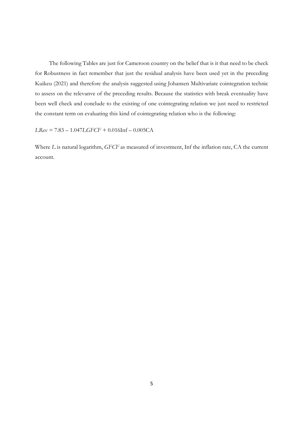The following Tables are just for Cameroon country on the belief that is it that need to be check for Robustness in fact remember that just the residual analysis have been used yet in the preceding Kuikeu (2021) and therefore the analysis suggested using Johansen Multivariate cointegration technic to assess on the relevanve of the preceding results. Because the statistics with break eventuality have been well check and conclude to the existing of one cointegrating relation we just need to restricted the constant term on evaluating this kind of cointegrating relation who is the following:

*LRex =* 7.83 – 1.047*LGFCF +* 0.016Inf – 0.005CA

Where *L* is natural logarithm, *GFCF* as measured of investment, Inf the inflation rate, CA the current account.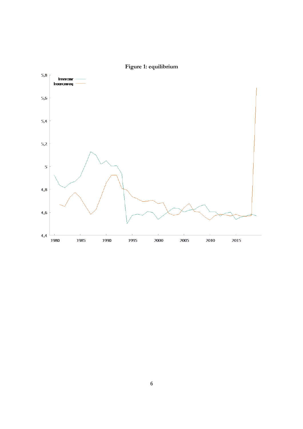

**Figure 1: equilibrium**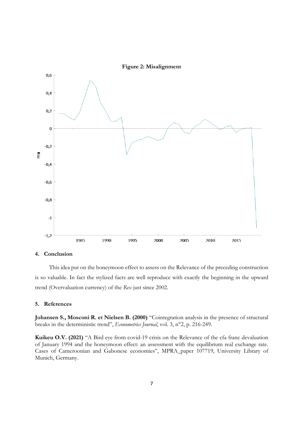

# **4. Conclusion**

This idea put on the honeymoon effect to assess on the Relevance of the preceding construction is so valuable. In fact the stylized facts are well reproduce with exactly the beginning in the upward trend (Overvaluation currency) of the *Rex* just since 2002.

## **5. References**

**Johansen S., Mosconi R. et Nielsen B. (2000)** "Cointegration analysis in the presence of structural breaks in the deterministic trend", *Econometrics Journal*, vol. 3, n°2, p. 216-249.

**Kuikeu O.V. (2021)** "A Bird eye from covid-19 crisis on the Relevance of the cfa franc devaluation of January 1994 and the honeymoon effect: an assessment with the equilibrium real exchange rate. Cases of Cameroonian and Gabonese economies", MPRA\_paper 107719, University Library of Munich, Germany.